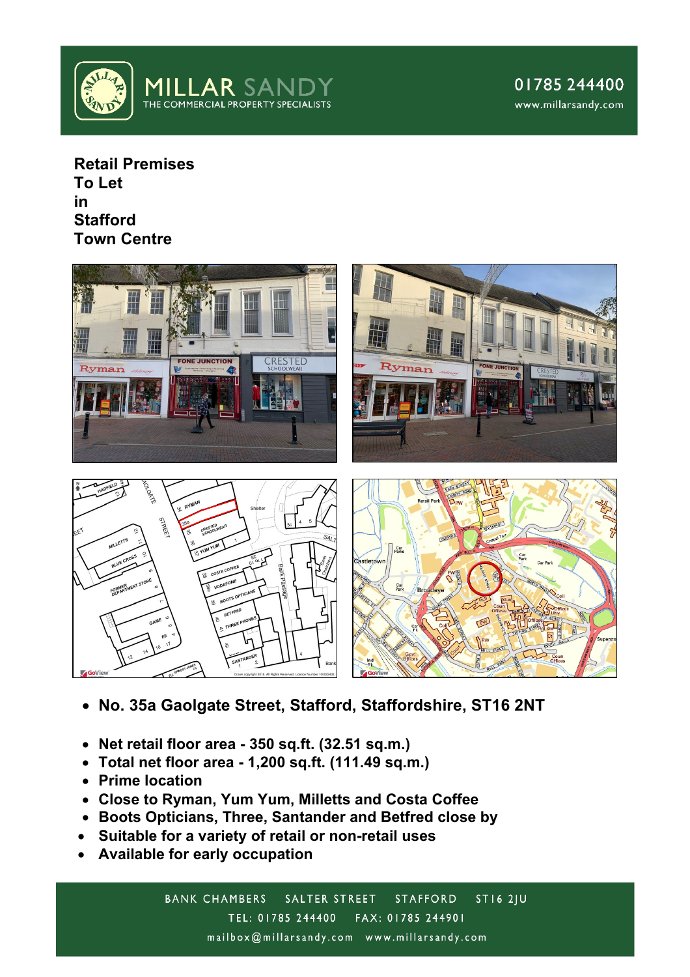

**Retail Premises To Let in Stafford Town Centre**



- **No. 35a Gaolgate Street, Stafford, Staffordshire, ST16 2NT**
- **Net retail floor area - 350 sq.ft. (32.51 sq.m.)**
- **Total net floor area - 1,200 sq.ft. (111.49 sq.m.)**
- **Prime location**
- **Close to Ryman, Yum Yum, Milletts and Costa Coffee**
- **Boots Opticians, Three, Santander and Betfred close by**
- **Suitable for a variety of retail or non-retail uses**
- **Available for early occupation**

BANK CHAMBERS SALTER STREET  $STI62JU$ **STAFFORD** TEL: 01785 244400 FAX: 01785 244901 mailbox@millarsandy.com www.millarsandy.com